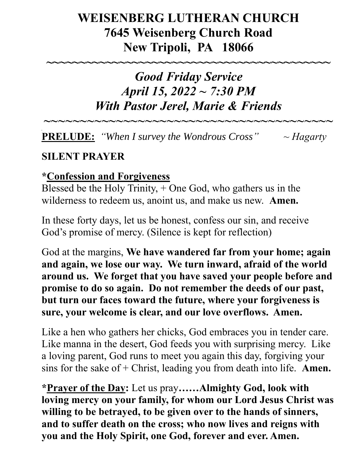# **WEISENBERG LUTHERAN CHURCH 7645 Weisenberg Church Road New Tripoli, PA 18066**

**~~~~~~~~~~~~~~~~~~~~~~~~~~~~~~~~~~~~~~~~~~~**

# *Good Friday Service April 15, 2022 ~ 7:30 PM With Pastor Jerel, Marie & Friends*

**PRELUDE:** *"When I survey the Wondrous Cross" ~ Hagarty*

*~~~~~~~~~~~~~~~~~~~~~~~~~~~~~~~~~~~~~~~~*

# **SILENT PRAYER**

#### **\*Confession and Forgiveness**

Blessed be the Holy Trinity, + One God, who gathers us in the wilderness to redeem us, anoint us, and make us new. **Amen.**

In these forty days, let us be honest, confess our sin, and receive God's promise of mercy. (Silence is kept for reflection)

God at the margins, **We have wandered far from your home; again and again, we lose our way. We turn inward, afraid of the world around us. We forget that you have saved your people before and promise to do so again. Do not remember the deeds of our past, but turn our faces toward the future, where your forgiveness is sure, your welcome is clear, and our love overflows. Amen.**

Like a hen who gathers her chicks, God embraces you in tender care. Like manna in the desert, God feeds you with surprising mercy. Like a loving parent, God runs to meet you again this day, forgiving your sins for the sake of + Christ, leading you from death into life. **Amen.**

**\*Prayer of the Day:** Let us pray**……Almighty God, look with loving mercy on your family, for whom our Lord Jesus Christ was willing to be betrayed, to be given over to the hands of sinners, and to suffer death on the cross; who now lives and reigns with you and the Holy Spirit, one God, forever and ever. Amen.**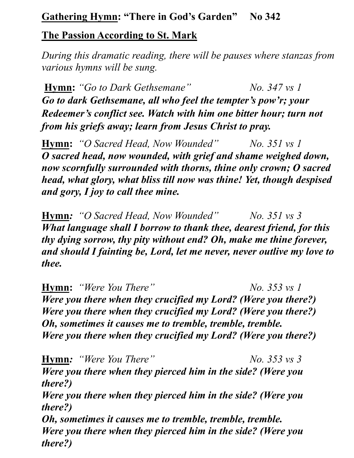#### **Gathering Hymn: "There in God's Garden" No 342**

#### **The Passion According to St. Mark**

*During this dramatic reading, there will be pauses where stanzas from various hymns will be sung.*

**Hymn:** "Go to Dark Gethsemane"  $N_0$ , 347 vs 1 *Go to dark Gethsemane, all who feel the tempter's pow'r; your Redeemer's conflict see. Watch with him one bitter hour; turn not from his griefs away; learn from Jesus Christ to pray.*

**Hymn:** *"O Sacred Head, Now Wounded" No. 351 vs 1 O sacred head, now wounded, with grief and shame weighed down, now scornfully surrounded with thorns, thine only crown; O sacred head, what glory, what bliss till now was thine! Yet, though despised and gory, I joy to call thee mine.*

**Hymn***: "O Sacred Head, Now Wounded" No. 351 vs 3 What language shall I borrow to thank thee, dearest friend, for this thy dying sorrow, thy pity without end? Oh, make me thine forever, and should I fainting be, Lord, let me never, never outlive my love to thee.*

**Hymn:** *"Were You There" No. 353 vs 1 Were you there when they crucified my Lord? (Were you there?) Were you there when they crucified my Lord? (Were you there?) Oh, sometimes it causes me to tremble, tremble, tremble. Were you there when they crucified my Lord? (Were you there?)*

**Hymn***: "Were You There" No. 353 vs 3 Were you there when they pierced him in the side? (Were you there?) Were you there when they pierced him in the side? (Were you there?) Oh, sometimes it causes me to tremble, tremble, tremble. Were you there when they pierced him in the side? (Were you there?)*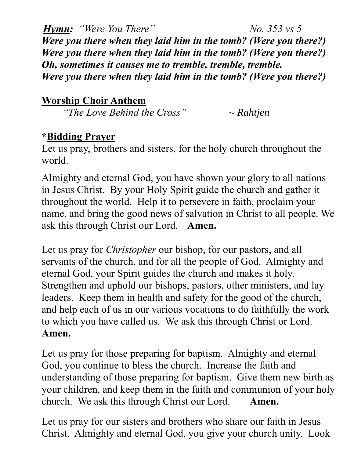*Hymn: "Were You There" No. 353 vs 5 Were you there when they laid him in the tomb? (Were you there?) Were you there when they laid him in the tomb? (Were you there?) Oh, sometimes it causes me to tremble, tremble, tremble. Were you there when they laid him in the tomb? (Were you there?)*

# **Worship Choir Anthem**

*"The Love Behind the Cross" ~ Rahtjen*

### **\*Bidding Prayer**

Let us pray, brothers and sisters, for the holy church throughout the world.

Almighty and eternal God, you have shown your glory to all nations in Jesus Christ. By your Holy Spirit guide the church and gather it throughout the world. Help it to persevere in faith, proclaim your name, and bring the good news of salvation in Christ to all people. We ask this through Christ our Lord. **Amen.**

Let us pray for *Christopher* our bishop, for our pastors, and all servants of the church, and for all the people of God. Almighty and eternal God, your Spirit guides the church and makes it holy. Strengthen and uphold our bishops, pastors, other ministers, and lay leaders. Keep them in health and safety for the good of the church, and help each of us in our various vocations to do faithfully the work to which you have called us. We ask this through Christ or Lord. **Amen.**

Let us pray for those preparing for baptism. Almighty and eternal God, you continue to bless the church. Increase the faith and understanding of those preparing for baptism. Give them new birth as your children, and keep them in the faith and communion of your holy church. We ask this through Christ our Lord. **Amen.**

Let us pray for our sisters and brothers who share our faith in Jesus Christ. Almighty and eternal God, you give your church unity. Look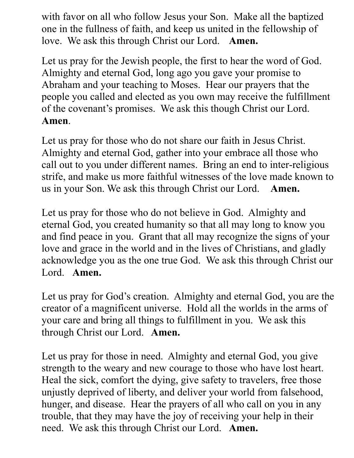with favor on all who follow Jesus your Son. Make all the baptized one in the fullness of faith, and keep us united in the fellowship of love. We ask this through Christ our Lord. **Amen.**

Let us pray for the Jewish people, the first to hear the word of God. Almighty and eternal God, long ago you gave your promise to Abraham and your teaching to Moses. Hear our prayers that the people you called and elected as you own may receive the fulfillment of the covenant's promises. We ask this though Christ our Lord. **Amen**.

Let us pray for those who do not share our faith in Jesus Christ. Almighty and eternal God, gather into your embrace all those who call out to you under different names. Bring an end to inter-religious strife, and make us more faithful witnesses of the love made known to us in your Son. We ask this through Christ our Lord. **Amen.**

Let us pray for those who do not believe in God. Almighty and eternal God, you created humanity so that all may long to know you and find peace in you. Grant that all may recognize the signs of your love and grace in the world and in the lives of Christians, and gladly acknowledge you as the one true God. We ask this through Christ our Lord. **Amen.**

Let us pray for God's creation. Almighty and eternal God, you are the creator of a magnificent universe. Hold all the worlds in the arms of your care and bring all things to fulfillment in you. We ask this through Christ our Lord. **Amen.**

Let us pray for those in need. Almighty and eternal God, you give strength to the weary and new courage to those who have lost heart. Heal the sick, comfort the dying, give safety to travelers, free those unjustly deprived of liberty, and deliver your world from falsehood, hunger, and disease. Hear the prayers of all who call on you in any trouble, that they may have the joy of receiving your help in their need. We ask this through Christ our Lord. **Amen.**